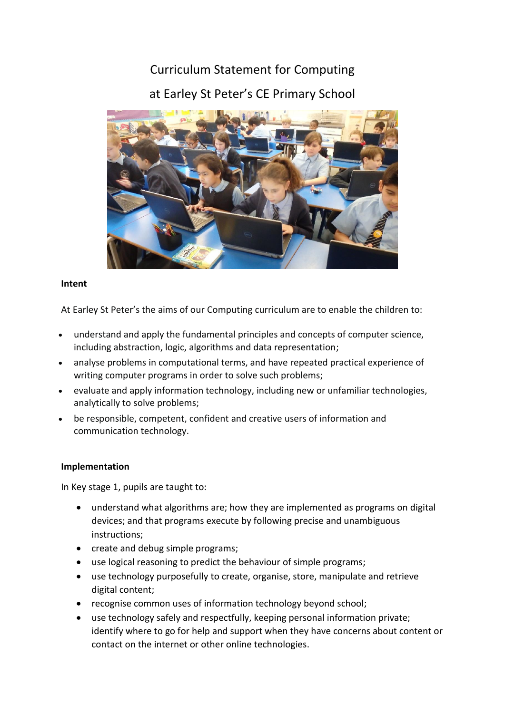# Curriculum Statement for Computing at Earley St Peter's CE Primary School



### **Intent**

At Earley St Peter's the aims of our Computing curriculum are to enable the children to:

- understand and apply the fundamental principles and concepts of computer science, including abstraction, logic, algorithms and data representation;
- analyse problems in computational terms, and have repeated practical experience of writing computer programs in order to solve such problems;
- evaluate and apply information technology, including new or unfamiliar technologies, analytically to solve problems;
- be responsible, competent, confident and creative users of information and communication technology.

## **Implementation**

In Key stage 1, pupils are taught to:

- understand what algorithms are; how they are implemented as programs on digital devices; and that programs execute by following precise and unambiguous instructions;
- create and debug simple programs;
- use logical reasoning to predict the behaviour of simple programs;
- use technology purposefully to create, organise, store, manipulate and retrieve digital content;
- recognise common uses of information technology beyond school;
- use technology safely and respectfully, keeping personal information private; identify where to go for help and support when they have concerns about content or contact on the internet or other online technologies.